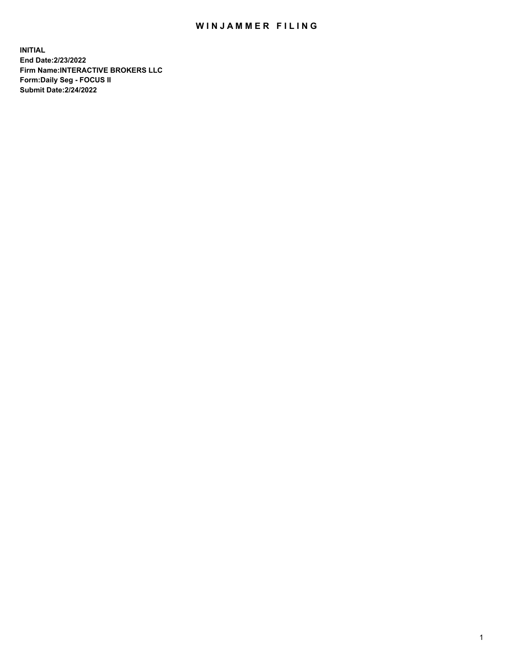## WIN JAMMER FILING

**INITIAL End Date:2/23/2022 Firm Name:INTERACTIVE BROKERS LLC Form:Daily Seg - FOCUS II Submit Date:2/24/2022**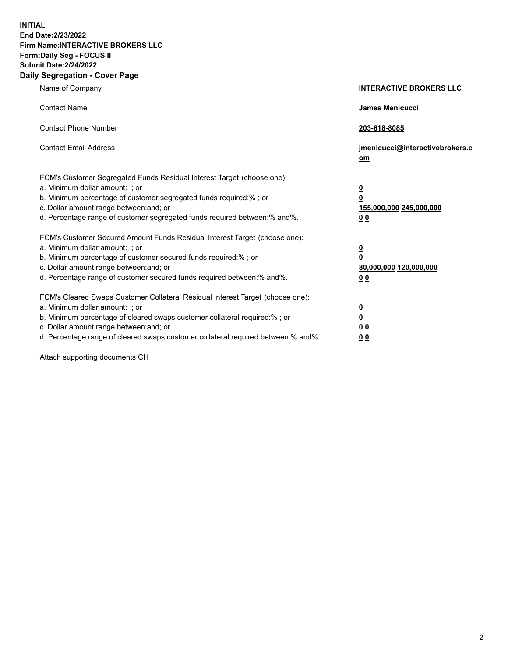**INITIAL End Date:2/23/2022 Firm Name:INTERACTIVE BROKERS LLC Form:Daily Seg - FOCUS II Submit Date:2/24/2022 Daily Segregation - Cover Page**

| Name of Company                                                                                                                                                                                                                                                                                                               | <b>INTERACTIVE BROKERS LLC</b>                                                                  |  |
|-------------------------------------------------------------------------------------------------------------------------------------------------------------------------------------------------------------------------------------------------------------------------------------------------------------------------------|-------------------------------------------------------------------------------------------------|--|
| <b>Contact Name</b>                                                                                                                                                                                                                                                                                                           | James Menicucci                                                                                 |  |
| <b>Contact Phone Number</b>                                                                                                                                                                                                                                                                                                   | 203-618-8085                                                                                    |  |
| <b>Contact Email Address</b>                                                                                                                                                                                                                                                                                                  | jmenicucci@interactivebrokers.c<br><u>om</u>                                                    |  |
| FCM's Customer Segregated Funds Residual Interest Target (choose one):<br>a. Minimum dollar amount: ; or<br>b. Minimum percentage of customer segregated funds required:% ; or<br>c. Dollar amount range between: and; or<br>d. Percentage range of customer segregated funds required between:% and%.                        | $\overline{\mathbf{0}}$<br>$\overline{\mathbf{0}}$<br>155,000,000 245,000,000<br>0 <sub>0</sub> |  |
| FCM's Customer Secured Amount Funds Residual Interest Target (choose one):<br>a. Minimum dollar amount: ; or<br>b. Minimum percentage of customer secured funds required:%; or<br>c. Dollar amount range between: and; or<br>d. Percentage range of customer secured funds required between:% and%.                           | $\overline{\mathbf{0}}$<br>$\overline{\mathbf{0}}$<br>80,000,000 120,000,000<br>0 <sub>0</sub>  |  |
| FCM's Cleared Swaps Customer Collateral Residual Interest Target (choose one):<br>a. Minimum dollar amount: ; or<br>b. Minimum percentage of cleared swaps customer collateral required:%; or<br>c. Dollar amount range between: and; or<br>d. Percentage range of cleared swaps customer collateral required between:% and%. | $\overline{\mathbf{0}}$<br>$\overline{\mathbf{0}}$<br>0 <sub>0</sub><br>0 <sub>0</sub>          |  |

Attach supporting documents CH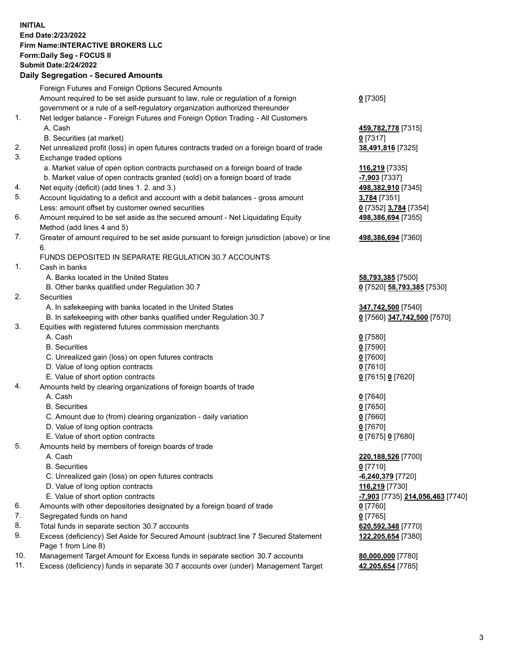**INITIAL End Date:2/23/2022 Firm Name:INTERACTIVE BROKERS LLC Form:Daily Seg - FOCUS II Submit Date:2/24/2022 Daily Segregation - Secured Amounts**

## Foreign Futures and Foreign Options Secured Amounts Amount required to be set aside pursuant to law, rule or regulation of a foreign government or a rule of a self-regulatory organization authorized thereunder **0** [7305] 1. Net ledger balance - Foreign Futures and Foreign Option Trading - All Customers A. Cash **459,782,778** [7315] B. Securities (at market) **0** [7317] 2. Net unrealized profit (loss) in open futures contracts traded on a foreign board of trade **38,491,816** [7325] 3. Exchange traded options a. Market value of open option contracts purchased on a foreign board of trade **116,219** [7335] b. Market value of open contracts granted (sold) on a foreign board of trade **-7,903** [7337] 4. Net equity (deficit) (add lines 1. 2. and 3.) **498,382,910** [7345] 5. Account liquidating to a deficit and account with a debit balances - gross amount **3,784** [7351] Less: amount offset by customer owned securities **0** [7352] **3,784** [7354] 6. Amount required to be set aside as the secured amount - Net Liquidating Equity Method (add lines 4 and 5) **498,386,694** [7355] 7. Greater of amount required to be set aside pursuant to foreign jurisdiction (above) or line 6. **498,386,694** [7360] FUNDS DEPOSITED IN SEPARATE REGULATION 30.7 ACCOUNTS 1. Cash in banks A. Banks located in the United States **58,793,385** [7500] B. Other banks qualified under Regulation 30.7 **0** [7520] **58,793,385** [7530] 2. Securities A. In safekeeping with banks located in the United States **347,742,500** [7540] B. In safekeeping with other banks qualified under Regulation 30.7 **0** [7560] **347,742,500** [7570] 3. Equities with registered futures commission merchants A. Cash **0** [7580] B. Securities **0** [7590] C. Unrealized gain (loss) on open futures contracts **0** [7600] D. Value of long option contracts **0** [7610] E. Value of short option contracts **0** [7615] **0** [7620] 4. Amounts held by clearing organizations of foreign boards of trade A. Cash **0** [7640] B. Securities **0** [7650] C. Amount due to (from) clearing organization - daily variation **0** [7660] D. Value of long option contracts **0** [7670] E. Value of short option contracts **0** [7675] **0** [7680] 5. Amounts held by members of foreign boards of trade A. Cash **220,188,526** [7700] B. Securities **0** [7710] C. Unrealized gain (loss) on open futures contracts **-6,240,379** [7720] D. Value of long option contracts **116,219** [7730] E. Value of short option contracts **-7,903** [7735] **214,056,463** [7740] 6. Amounts with other depositories designated by a foreign board of trade **0** [7760] 7. Segregated funds on hand **0** [7765] 8. Total funds in separate section 30.7 accounts **620,592,348** [7770] 9. Excess (deficiency) Set Aside for Secured Amount (subtract line 7 Secured Statement Page 1 from Line 8) **122,205,654** [7380] 10. Management Target Amount for Excess funds in separate section 30.7 accounts **80,000,000** [7780] 11. Excess (deficiency) funds in separate 30.7 accounts over (under) Management Target **42,205,654** [7785]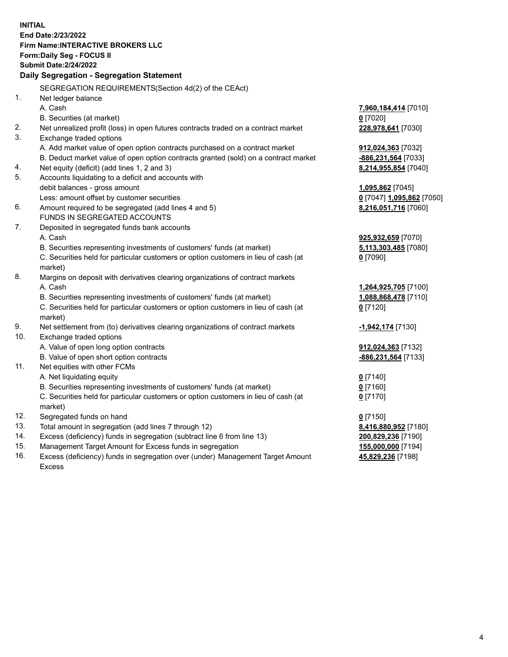**INITIAL End Date:2/23/2022 Firm Name:INTERACTIVE BROKERS LLC Form:Daily Seg - FOCUS II Submit Date:2/24/2022 Daily Segregation - Segregation Statement** SEGREGATION REQUIREMENTS(Section 4d(2) of the CEAct) 1. Net ledger balance A. Cash **7,960,184,414** [7010] B. Securities (at market) **0** [7020] 2. Net unrealized profit (loss) in open futures contracts traded on a contract market **228,978,641** [7030] 3. Exchange traded options A. Add market value of open option contracts purchased on a contract market **912,024,363** [7032] B. Deduct market value of open option contracts granted (sold) on a contract market **-886,231,564** [7033] 4. Net equity (deficit) (add lines 1, 2 and 3) **8,214,955,854** [7040] 5. Accounts liquidating to a deficit and accounts with debit balances - gross amount **1,095,862** [7045] Less: amount offset by customer securities **0** [7047] **1,095,862** [7050] 6. Amount required to be segregated (add lines 4 and 5) **8,216,051,716** [7060] FUNDS IN SEGREGATED ACCOUNTS 7. Deposited in segregated funds bank accounts A. Cash **925,932,659** [7070] B. Securities representing investments of customers' funds (at market) **5,113,303,485** [7080] C. Securities held for particular customers or option customers in lieu of cash (at market) **0** [7090] 8. Margins on deposit with derivatives clearing organizations of contract markets A. Cash **1,264,925,705** [7100] B. Securities representing investments of customers' funds (at market) **1,088,868,478** [7110] C. Securities held for particular customers or option customers in lieu of cash (at market) **0** [7120] 9. Net settlement from (to) derivatives clearing organizations of contract markets **-1,942,174** [7130] 10. Exchange traded options A. Value of open long option contracts **912,024,363** [7132] B. Value of open short option contracts **-886,231,564** [7133] 11. Net equities with other FCMs A. Net liquidating equity **0** [7140] B. Securities representing investments of customers' funds (at market) **0** [7160] C. Securities held for particular customers or option customers in lieu of cash (at market) **0** [7170] 12. Segregated funds on hand **0** [7150] 13. Total amount in segregation (add lines 7 through 12) **8,416,880,952** [7180] 14. Excess (deficiency) funds in segregation (subtract line 6 from line 13) **200,829,236** [7190] 15. Management Target Amount for Excess funds in segregation **155,000,000** [7194] 16. Excess (deficiency) funds in segregation over (under) Management Target Amount **45,829,236** [7198]

Excess